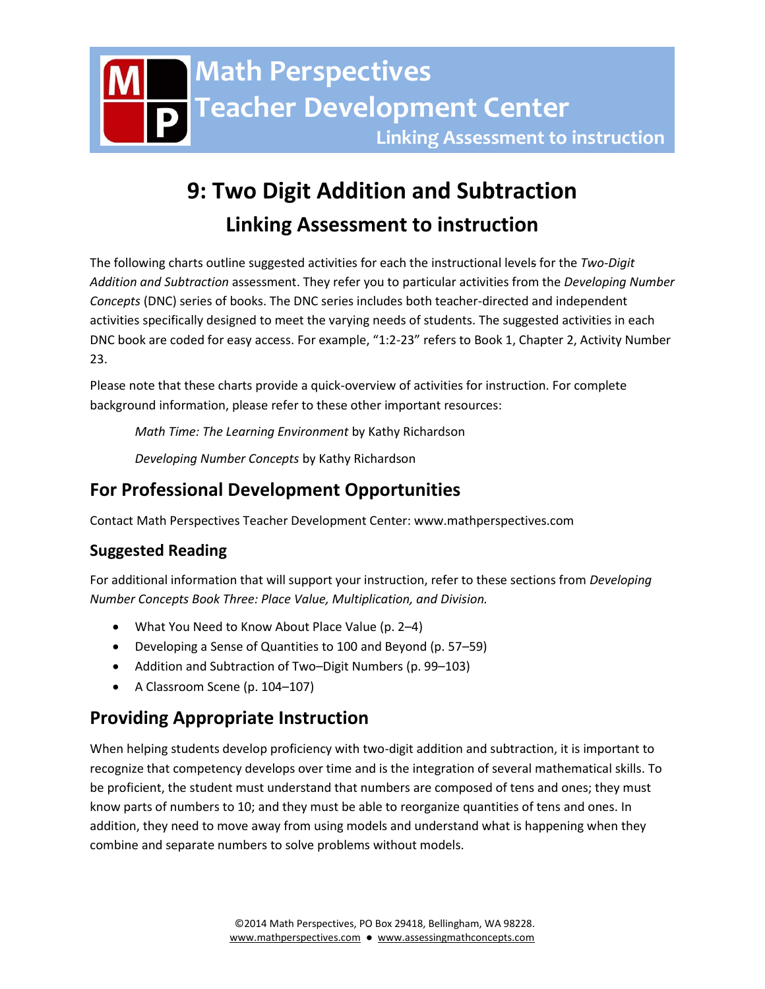# **9: Two Digit Addition and Subtraction Linking Assessment to instruction**

The following charts outline suggested activities for each the instructional levels for the *Two-Digit Addition and Subtraction* assessment. They refer you to particular activities from the *Developing Number Concepts* (DNC) series of books. The DNC series includes both teacher-directed and independent activities specifically designed to meet the varying needs of students. The suggested activities in each DNC book are coded for easy access. For example, "1:2-23" refers to Book 1, Chapter 2, Activity Number 23.

Please note that these charts provide a quick-overview of activities for instruction. For complete background information, please refer to these other important resources:

*Math Time: The Learning Environment* by Kathy Richardson

*Developing Number Concepts* by Kathy Richardson

# **For Professional Development Opportunities**

Contact Math Perspectives Teacher Development Center: www.mathperspectives.com

# **Suggested Reading**

For additional information that will support your instruction, refer to these sections from *Developing Number Concepts Book Three: Place Value, Multiplication, and Division.*

- What You Need to Know About Place Value (p. 2–4)
- Developing a Sense of Quantities to 100 and Beyond (p. 57–59)
- Addition and Subtraction of Two–Digit Numbers (p. 99–103)
- A Classroom Scene (p. 104–107)

# **Providing Appropriate Instruction**

When helping students develop proficiency with two-digit addition and subtraction, it is important to recognize that competency develops over time and is the integration of several mathematical skills. To be proficient, the student must understand that numbers are composed of tens and ones; they must know parts of numbers to 10; and they must be able to reorganize quantities of tens and ones. In addition, they need to move away from using models and understand what is happening when they combine and separate numbers to solve problems without models.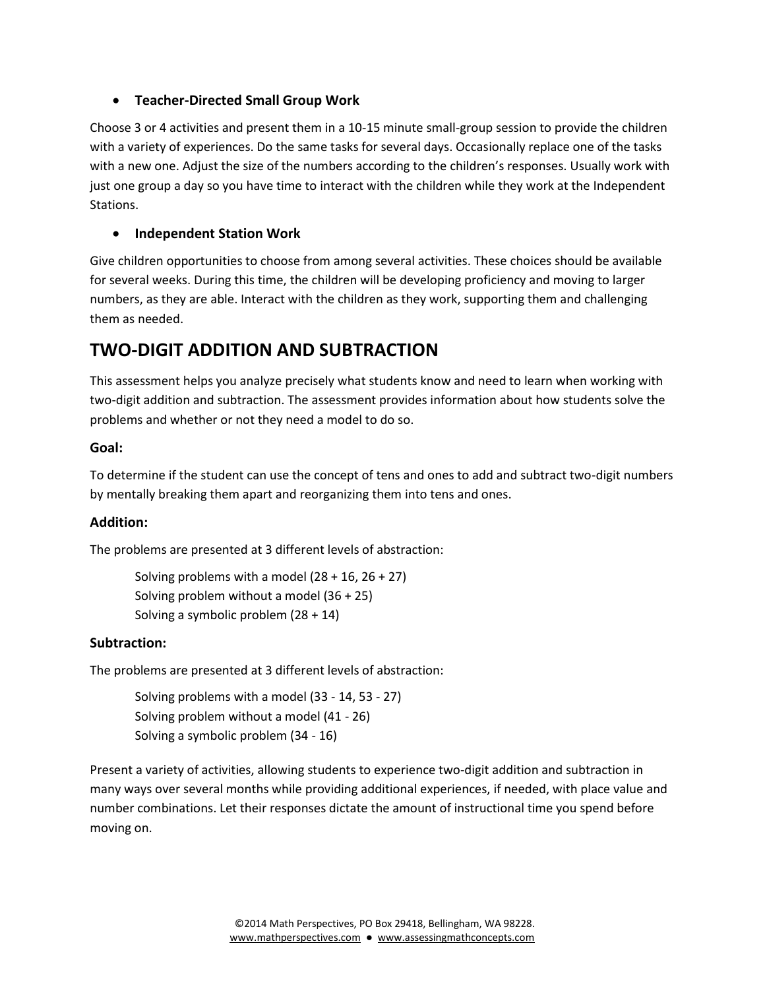#### **Teacher-Directed Small Group Work**

Choose 3 or 4 activities and present them in a 10-15 minute small-group session to provide the children with a variety of experiences. Do the same tasks for several days. Occasionally replace one of the tasks with a new one. Adjust the size of the numbers according to the children's responses. Usually work with just one group a day so you have time to interact with the children while they work at the Independent Stations.

#### **Independent Station Work**

Give children opportunities to choose from among several activities. These choices should be available for several weeks. During this time, the children will be developing proficiency and moving to larger numbers, as they are able. Interact with the children as they work, supporting them and challenging them as needed.

# **TWO-DIGIT ADDITION AND SUBTRACTION**

This assessment helps you analyze precisely what students know and need to learn when working with two-digit addition and subtraction. The assessment provides information about how students solve the problems and whether or not they need a model to do so.

#### **Goal:**

To determine if the student can use the concept of tens and ones to add and subtract two-digit numbers by mentally breaking them apart and reorganizing them into tens and ones.

#### **Addition:**

The problems are presented at 3 different levels of abstraction:

Solving problems with a model  $(28 + 16, 26 + 27)$ Solving problem without a model (36 + 25) Solving a symbolic problem (28 + 14)

#### **Subtraction:**

The problems are presented at 3 different levels of abstraction:

Solving problems with a model (33 - 14, 53 - 27) Solving problem without a model (41 - 26) Solving a symbolic problem (34 - 16)

Present a variety of activities, allowing students to experience two-digit addition and subtraction in many ways over several months while providing additional experiences, if needed, with place value and number combinations. Let their responses dictate the amount of instructional time you spend before moving on.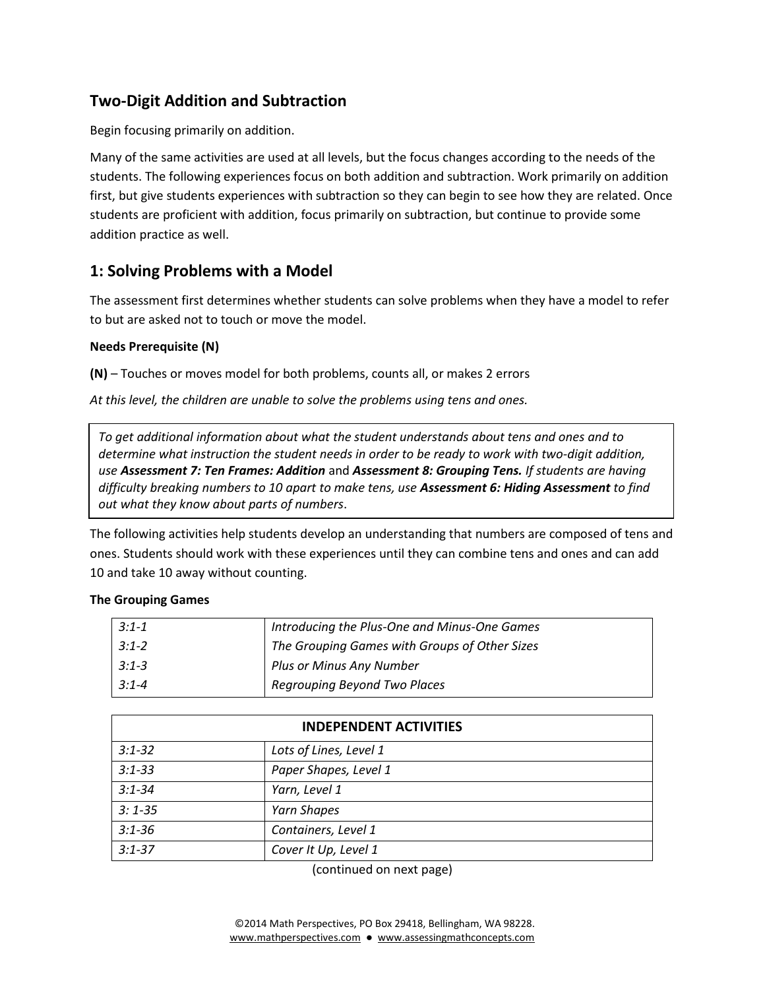## **Two-Digit Addition and Subtraction**

Begin focusing primarily on addition.

Many of the same activities are used at all levels, but the focus changes according to the needs of the students. The following experiences focus on both addition and subtraction. Work primarily on addition first, but give students experiences with subtraction so they can begin to see how they are related. Once students are proficient with addition, focus primarily on subtraction, but continue to provide some addition practice as well.

## **1: Solving Problems with a Model**

The assessment first determines whether students can solve problems when they have a model to refer to but are asked not to touch or move the model.

#### **Needs Prerequisite (N)**

**(N)** – Touches or moves model for both problems, counts all, or makes 2 errors

*At this level, the children are unable to solve the problems using tens and ones.* 

*To get additional information about what the student understands about tens and ones and to determine what instruction the student needs in order to be ready to work with two-digit addition, use Assessment 7: Ten Frames: Addition* and *Assessment 8: Grouping Tens. If students are having difficulty breaking numbers to 10 apart to make tens, use Assessment 6: Hiding Assessment to find out what they know about parts of numbers*.

The following activities help students develop an understanding that numbers are composed of tens and ones. Students should work with these experiences until they can combine tens and ones and can add 10 and take 10 away without counting.

#### **The Grouping Games**

| $3:1 - 1$ | Introducing the Plus-One and Minus-One Games  |
|-----------|-----------------------------------------------|
| $3:1 - 2$ | The Grouping Games with Groups of Other Sizes |
| $3:1 - 3$ | Plus or Minus Any Number                      |
| $3:1 - 4$ | Regrouping Beyond Two Places                  |

| <b>INDEPENDENT ACTIVITIES</b> |                        |
|-------------------------------|------------------------|
| $3:1 - 32$                    | Lots of Lines, Level 1 |
| $3:1 - 33$                    | Paper Shapes, Level 1  |
| $3:1 - 34$                    | Yarn, Level 1          |
| $3:1 - 35$                    | Yarn Shapes            |
| $3:1 - 36$                    | Containers, Level 1    |
| $3:1 - 37$                    | Cover It Up, Level 1   |

(continued on next page)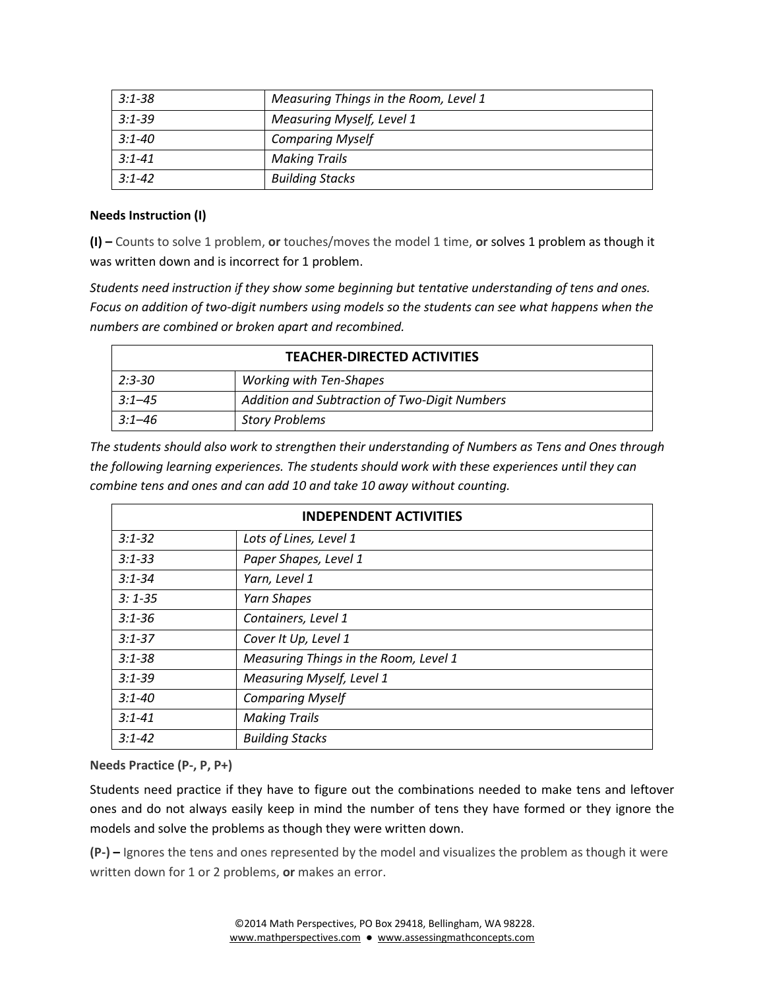| $3:1 - 38$ | Measuring Things in the Room, Level 1 |
|------------|---------------------------------------|
| $3:1 - 39$ | <b>Measuring Myself, Level 1</b>      |
| $3:1 - 40$ | <b>Comparing Myself</b>               |
| $3:1 - 41$ | <b>Making Trails</b>                  |
| $3:1 - 42$ | <b>Building Stacks</b>                |

#### **Needs Instruction (I)**

**(I) –** Counts to solve 1 problem, **or** touches/moves the model 1 time, **or** solves 1 problem as though it was written down and is incorrect for 1 problem.

*Students need instruction if they show some beginning but tentative understanding of tens and ones. Focus on addition of two-digit numbers using models so the students can see what happens when the numbers are combined or broken apart and recombined.* 

| <b>TEACHER-DIRECTED ACTIVITIES</b> |                                               |
|------------------------------------|-----------------------------------------------|
| $2:3 - 30$                         | <b>Working with Ten-Shapes</b>                |
| $3:1 - 45$                         | Addition and Subtraction of Two-Digit Numbers |
| $3:1 - 46$                         | <b>Story Problems</b>                         |

*The students should also work to strengthen their understanding of Numbers as Tens and Ones through the following learning experiences. The students should work with these experiences until they can combine tens and ones and can add 10 and take 10 away without counting.*

| <b>INDEPENDENT ACTIVITIES</b> |                                       |
|-------------------------------|---------------------------------------|
| $3:1 - 32$                    | Lots of Lines, Level 1                |
| $3:1 - 33$                    | Paper Shapes, Level 1                 |
| $3:1 - 34$                    | Yarn, Level 1                         |
| $3:1 - 35$                    | <b>Yarn Shapes</b>                    |
| $3:1 - 36$                    | Containers, Level 1                   |
| $3:1 - 37$                    | Cover It Up, Level 1                  |
| $3:1 - 38$                    | Measuring Things in the Room, Level 1 |
| $3:1 - 39$                    | Measuring Myself, Level 1             |
| $3:1 - 40$                    | <b>Comparing Myself</b>               |
| $3:1 - 41$                    | <b>Making Trails</b>                  |
| $3:1 - 42$                    | <b>Building Stacks</b>                |

#### **Needs Practice (P-, P, P+)**

Students need practice if they have to figure out the combinations needed to make tens and leftover ones and do not always easily keep in mind the number of tens they have formed or they ignore the models and solve the problems as though they were written down.

**(P-) –** Ignores the tens and ones represented by the model and visualizes the problem as though it were written down for 1 or 2 problems, **or** makes an error.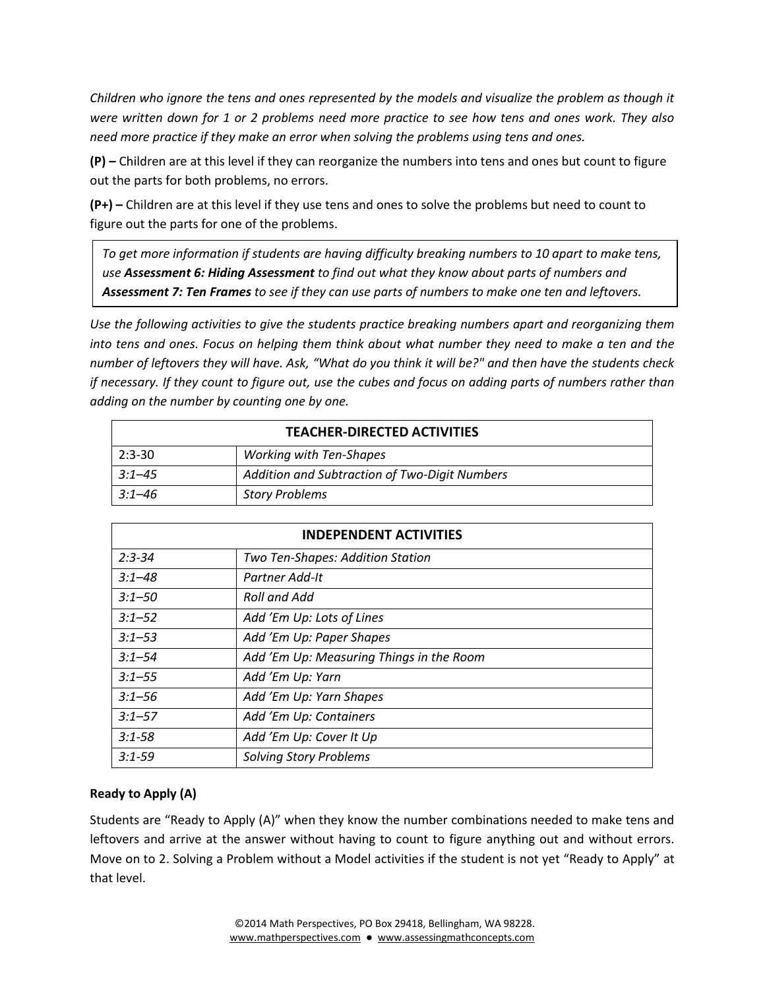*Children who ignore the tens and ones represented by the models and visualize the problem as though it were written down for 1 or 2 problems need more practice to see how tens and ones work. They also need more practice if they make an error when solving the problems using tens and ones.* 

**(P) –** Children are at this level if they can reorganize the numbers into tens and ones but count to figure out the parts for both problems, no errors.

**(P+) –** Children are at this level if they use tens and ones to solve the problems but need to count to figure out the parts for one of the problems.

*To get more information if students are having difficulty breaking numbers to 10 apart to make tens, use Assessment 6: Hiding Assessment to find out what they know about parts of numbers and Assessment 7: Ten Frames to see if they can use parts of numbers to make one ten and leftovers.*

*Use the following activities to give the students practice breaking numbers apart and reorganizing them into tens and ones. Focus on helping them think about what number they need to make a ten and the number of leftovers they will have. Ask, "What do you think it will be?" and then have the students check if necessary. If they count to figure out, use the cubes and focus on adding parts of numbers rather than adding on the number by counting one by one.*

| <b>TEACHER-DIRECTED ACTIVITIES</b> |                                               |
|------------------------------------|-----------------------------------------------|
| $2:3-30$                           | <b>Working with Ten-Shapes</b>                |
| $3:1 - 45$                         | Addition and Subtraction of Two-Digit Numbers |
| $3:1 - 46$                         | <b>Story Problems</b>                         |

| <b>INDEPENDENT ACTIVITIES</b> |                                          |  |
|-------------------------------|------------------------------------------|--|
| $2:3 - 34$                    | Two Ten-Shapes: Addition Station         |  |
| $3:1 - 48$                    | Partner Add-It                           |  |
| $3:1 - 50$                    | Roll and Add                             |  |
| $3:1 - 52$                    | Add 'Em Up: Lots of Lines                |  |
| $3:1 - 53$                    | Add 'Em Up: Paper Shapes                 |  |
| $3:1 - 54$                    | Add 'Em Up: Measuring Things in the Room |  |
| $3:1 - 55$                    | Add 'Em Up: Yarn                         |  |
| $3:1 - 56$                    | Add 'Em Up: Yarn Shapes                  |  |
| $3:1 - 57$                    | Add 'Em Up: Containers                   |  |
| $3:1 - 58$                    | Add 'Em Up: Cover It Up                  |  |
| $3:1 - 59$                    | <b>Solving Story Problems</b>            |  |

#### **Ready to Apply (A)**

Students are "Ready to Apply (A)" when they know the number combinations needed to make tens and leftovers and arrive at the answer without having to count to figure anything out and without errors. Move on to 2. Solving a Problem without a Model activities if the student is not yet "Ready to Apply" at that level.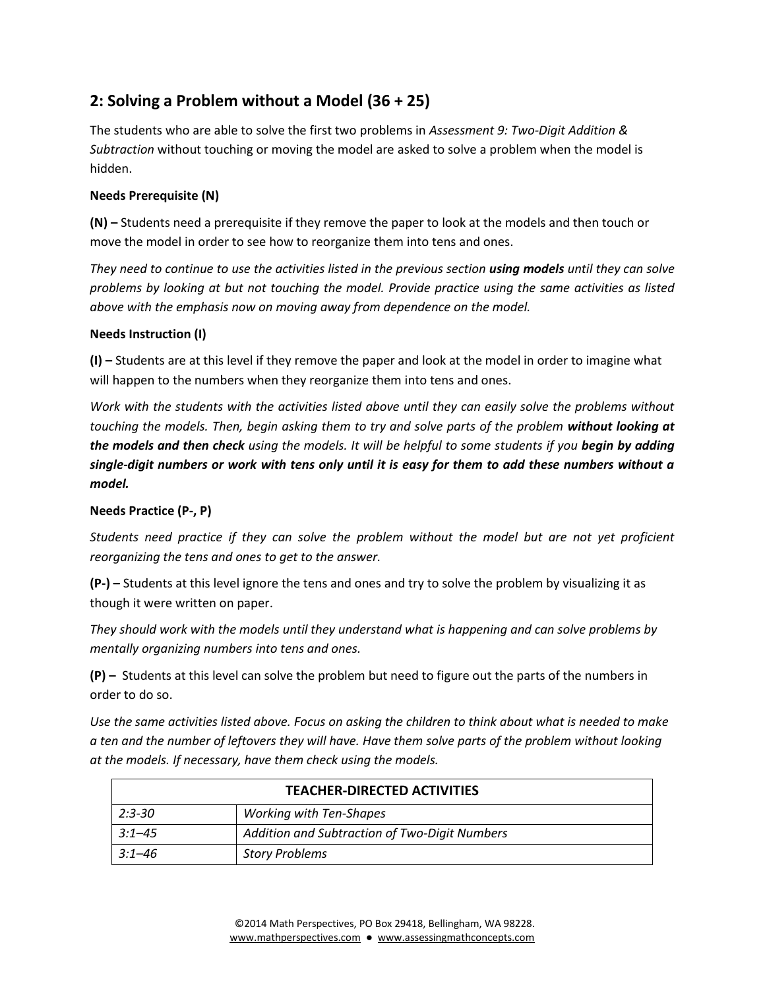# **2: Solving a Problem without a Model (36 + 25)**

The students who are able to solve the first two problems in *Assessment 9: Two-Digit Addition & Subtraction* without touching or moving the model are asked to solve a problem when the model is hidden.

#### **Needs Prerequisite (N)**

**(N) –** Students need a prerequisite if they remove the paper to look at the models and then touch or move the model in order to see how to reorganize them into tens and ones.

*They need to continue to use the activities listed in the previous section using models until they can solve problems by looking at but not touching the model. Provide practice using the same activities as listed above with the emphasis now on moving away from dependence on the model.*

#### **Needs Instruction (I)**

**(I) –** Students are at this level if they remove the paper and look at the model in order to imagine what will happen to the numbers when they reorganize them into tens and ones.

*Work with the students with the activities listed above until they can easily solve the problems without touching the models. Then, begin asking them to try and solve parts of the problem without looking at the models and then check using the models. It will be helpful to some students if you begin by adding single-digit numbers or work with tens only until it is easy for them to add these numbers without a model.*

#### **Needs Practice (P-, P)**

*Students need practice if they can solve the problem without the model but are not yet proficient reorganizing the tens and ones to get to the answer.* 

**(P-) –** Students at this level ignore the tens and ones and try to solve the problem by visualizing it as though it were written on paper.

*They should work with the models until they understand what is happening and can solve problems by mentally organizing numbers into tens and ones.* 

**(P) –** Students at this level can solve the problem but need to figure out the parts of the numbers in order to do so.

*Use the same activities listed above. Focus on asking the children to think about what is needed to make a ten and the number of leftovers they will have. Have them solve parts of the problem without looking at the models. If necessary, have them check using the models.*

| <b>TEACHER-DIRECTED ACTIVITIES</b> |                                               |
|------------------------------------|-----------------------------------------------|
| $2:3 - 30$                         | <b>Working with Ten-Shapes</b>                |
| $3:1 - 45$                         | Addition and Subtraction of Two-Digit Numbers |
| 3:1–46                             | <b>Story Problems</b>                         |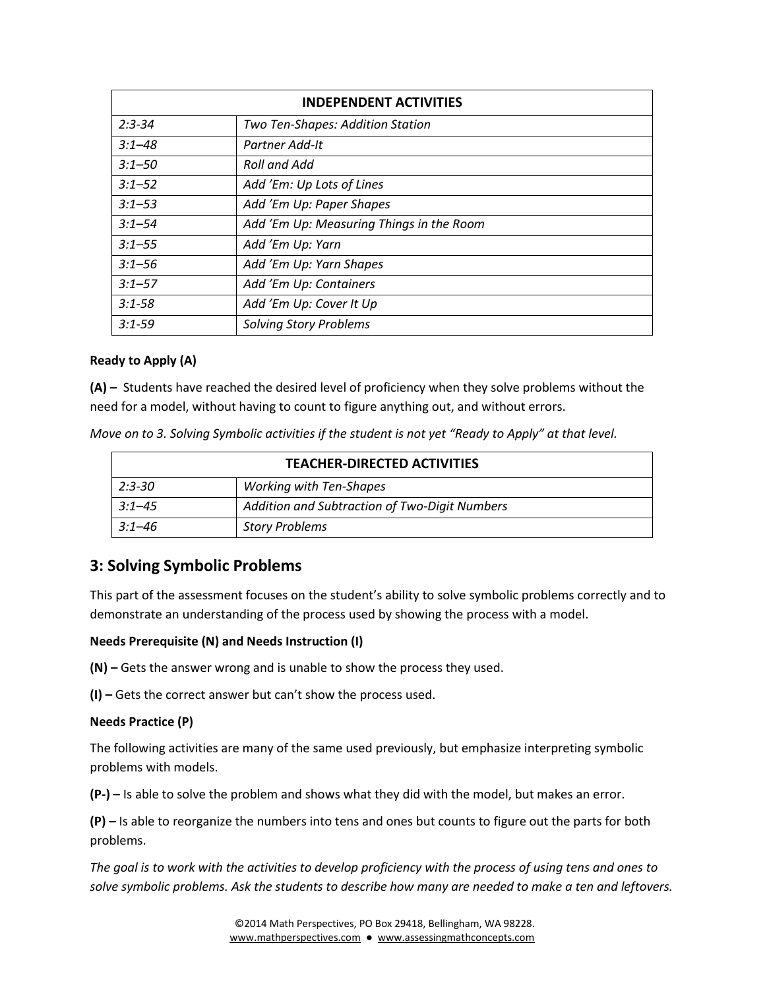| <b>INDEPENDENT ACTIVITIES</b> |                                          |
|-------------------------------|------------------------------------------|
| $2:3 - 34$                    | Two Ten-Shapes: Addition Station         |
| $3:1 - 48$                    | Partner Add-It                           |
| $3:1 - 50$                    | Roll and Add                             |
| $3:1 - 52$                    | Add 'Em: Up Lots of Lines                |
| $3:1 - 53$                    | Add 'Em Up: Paper Shapes                 |
| $3:1 - 54$                    | Add 'Em Up: Measuring Things in the Room |
| $3:1 - 55$                    | Add 'Em Up: Yarn                         |
| $3:1 - 56$                    | Add 'Em Up: Yarn Shapes                  |
| $3:1 - 57$                    | Add 'Em Up: Containers                   |
| $3:1 - 58$                    | Add 'Em Up: Cover It Up                  |
| $3:1 - 59$                    | <b>Solving Story Problems</b>            |

#### **Ready to Apply (A)**

**(A) –** Students have reached the desired level of proficiency when they solve problems without the need for a model, without having to count to figure anything out, and without errors.

*Move on to 3. Solving Symbolic activities if the student is not yet "Ready to Apply" at that level.* 

| <b>TEACHER-DIRECTED ACTIVITIES</b> |                                               |
|------------------------------------|-----------------------------------------------|
| 2:3-30                             | <b>Working with Ten-Shapes</b>                |
| $3:1 - 4.5$                        | Addition and Subtraction of Two-Digit Numbers |
| $3:1 - 46$                         | <b>Story Problems</b>                         |

## **3: Solving Symbolic Problems**

This part of the assessment focuses on the student's ability to solve symbolic problems correctly and to demonstrate an understanding of the process used by showing the process with a model.

#### **Needs Prerequisite (N) and Needs Instruction (I)**

**(N) –** Gets the answer wrong and is unable to show the process they used.

**(I) –** Gets the correct answer but can't show the process used.

#### **Needs Practice (P)**

The following activities are many of the same used previously, but emphasize interpreting symbolic problems with models.

**(P-) –** Is able to solve the problem and shows what they did with the model, but makes an error.

**(P) –** Is able to reorganize the numbers into tens and ones but counts to figure out the parts for both problems.

*The goal is to work with the activities to develop proficiency with the process of using tens and ones to solve symbolic problems. Ask the students to describe how many are needed to make a ten and leftovers.*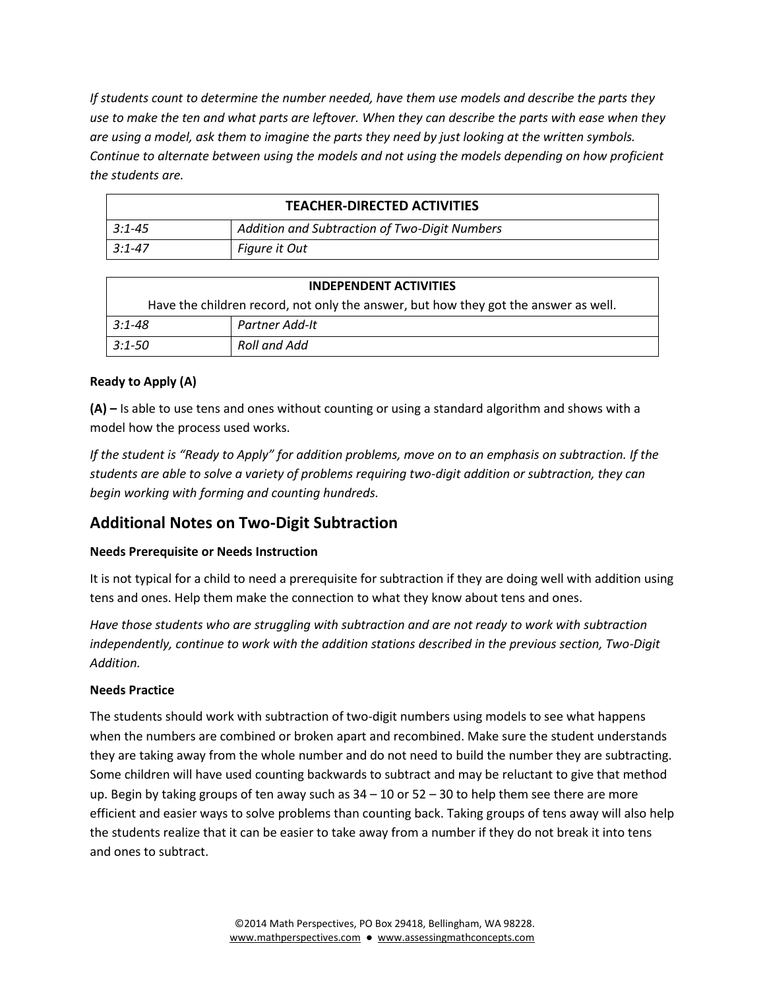*If students count to determine the number needed, have them use models and describe the parts they use to make the ten and what parts are leftover. When they can describe the parts with ease when they are using a model, ask them to imagine the parts they need by just looking at the written symbols. Continue to alternate between using the models and not using the models depending on how proficient the students are.*

| <b>TEACHER-DIRECTED ACTIVITIES</b> |                                               |
|------------------------------------|-----------------------------------------------|
| $3:1 - 45$                         | Addition and Subtraction of Two-Digit Numbers |
| $3:1 - 47$                         | Figure it Out                                 |

| <b>INDEPENDENT ACTIVITIES</b>                                                       |                |  |
|-------------------------------------------------------------------------------------|----------------|--|
| Have the children record, not only the answer, but how they got the answer as well. |                |  |
| $3:1 - 48$                                                                          | Partner Add-It |  |
| 3:1-50                                                                              | Roll and Add   |  |

#### **Ready to Apply (A)**

**(A) –** Is able to use tens and ones without counting or using a standard algorithm and shows with a model how the process used works.

*If the student is "Ready to Apply" for addition problems, move on to an emphasis on subtraction. If the students are able to solve a variety of problems requiring two-digit addition or subtraction, they can begin working with forming and counting hundreds.*

## **Additional Notes on Two-Digit Subtraction**

#### **Needs Prerequisite or Needs Instruction**

It is not typical for a child to need a prerequisite for subtraction if they are doing well with addition using tens and ones. Help them make the connection to what they know about tens and ones.

*Have those students who are struggling with subtraction and are not ready to work with subtraction independently, continue to work with the addition stations described in the previous section, Two-Digit Addition.*

#### **Needs Practice**

The students should work with subtraction of two-digit numbers using models to see what happens when the numbers are combined or broken apart and recombined. Make sure the student understands they are taking away from the whole number and do not need to build the number they are subtracting. Some children will have used counting backwards to subtract and may be reluctant to give that method up. Begin by taking groups of ten away such as  $34 - 10$  or  $52 - 30$  to help them see there are more efficient and easier ways to solve problems than counting back. Taking groups of tens away will also help the students realize that it can be easier to take away from a number if they do not break it into tens and ones to subtract.